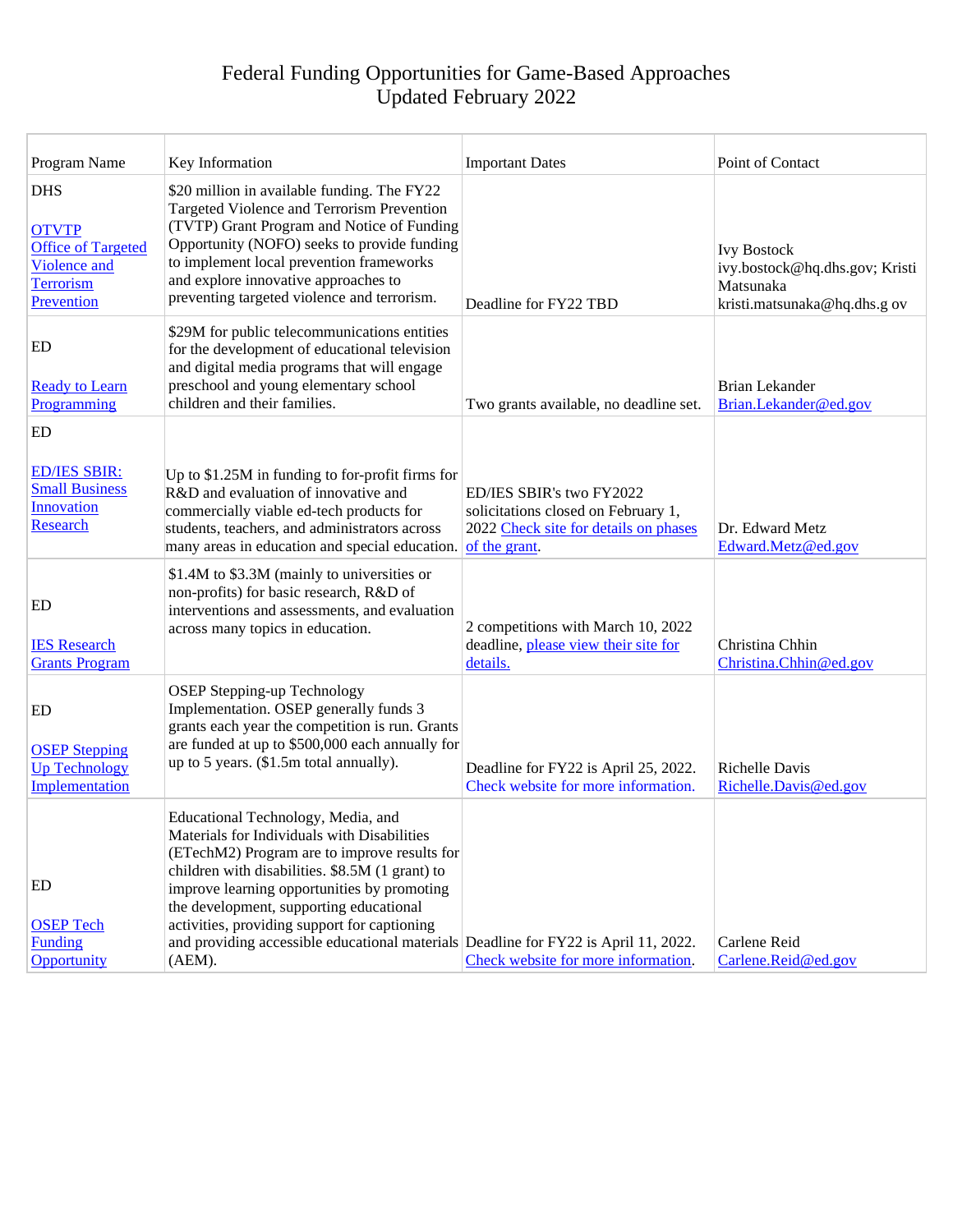| Program Name                                                                                              | Key Information                                                                                                                                                                                                                                                                                                                                                                                                                    | <b>Important Dates</b>                                                                                                    | Point of Contact                                                                                 |
|-----------------------------------------------------------------------------------------------------------|------------------------------------------------------------------------------------------------------------------------------------------------------------------------------------------------------------------------------------------------------------------------------------------------------------------------------------------------------------------------------------------------------------------------------------|---------------------------------------------------------------------------------------------------------------------------|--------------------------------------------------------------------------------------------------|
| <b>DHS</b><br><b>OTVTP</b><br><b>Office of Targeted</b><br><b>Violence and</b><br>Terrorism<br>Prevention | \$20 million in available funding. The FY22<br>Targeted Violence and Terrorism Prevention<br>(TVTP) Grant Program and Notice of Funding<br>Opportunity (NOFO) seeks to provide funding<br>to implement local prevention frameworks<br>and explore innovative approaches to<br>preventing targeted violence and terrorism.                                                                                                          | Deadline for FY22 TBD                                                                                                     | <b>Ivy Bostock</b><br>ivy.bostock@hq.dhs.gov; Kristi<br>Matsunaka<br>kristi.matsunaka@hq.dhs.gov |
| ED<br><b>Ready to Learn</b><br>Programming                                                                | \$29M for public telecommunications entities<br>for the development of educational television<br>and digital media programs that will engage<br>preschool and young elementary school<br>children and their families.                                                                                                                                                                                                              | Two grants available, no deadline set.                                                                                    | <b>Brian Lekander</b><br>Brian.Lekander@ed.gov                                                   |
| ED                                                                                                        |                                                                                                                                                                                                                                                                                                                                                                                                                                    |                                                                                                                           |                                                                                                  |
| <b>ED/IES SBIR:</b><br><b>Small Business</b><br><b>Innovation</b><br>Research                             | Up to $$1.25M$ in funding to for-profit firms for<br>R&D and evaluation of innovative and<br>commercially viable ed-tech products for<br>students, teachers, and administrators across<br>many areas in education and special education.                                                                                                                                                                                           | ED/IES SBIR's two FY2022<br>solicitations closed on February 1,<br>2022 Check site for details on phases<br>of the grant. | Dr. Edward Metz<br>Edward.Metz@ed.gov                                                            |
| ED<br><b>IES</b> Research<br><b>Grants Program</b>                                                        | \$1.4M to \$3.3M (mainly to universities or<br>non-profits) for basic research, R&D of<br>interventions and assessments, and evaluation<br>across many topics in education.                                                                                                                                                                                                                                                        | 2 competitions with March 10, 2022<br>deadline, please view their site for<br>details.                                    | Christina Chhin<br>Christina.Chhin@ed.gov                                                        |
| ED<br><b>OSEP Stepping</b><br><b>Up Technology</b><br>Implementation                                      | <b>OSEP Stepping-up Technology</b><br>Implementation. OSEP generally funds 3<br>grants each year the competition is run. Grants<br>are funded at up to \$500,000 each annually for<br>up to 5 years. (\$1.5m total annually).                                                                                                                                                                                                      | Deadline for FY22 is April 25, 2022.<br>Check website for more information.                                               | <b>Richelle Davis</b><br>Richelle.Davis@ed.gov                                                   |
| ED<br><b>OSEP Tech</b><br><b>Funding</b><br>Opportunity                                                   | Educational Technology, Media, and<br>Materials for Individuals with Disabilities<br>(ETechM2) Program are to improve results for<br>children with disabilities. \$8.5M (1 grant) to<br>improve learning opportunities by promoting<br>the development, supporting educational<br>activities, providing support for captioning<br>and providing accessible educational materials Deadline for FY22 is April 11, 2022.<br>$(AEM)$ . | Check website for more information.                                                                                       | Carlene Reid<br>Carlene.Reid@ed.gov                                                              |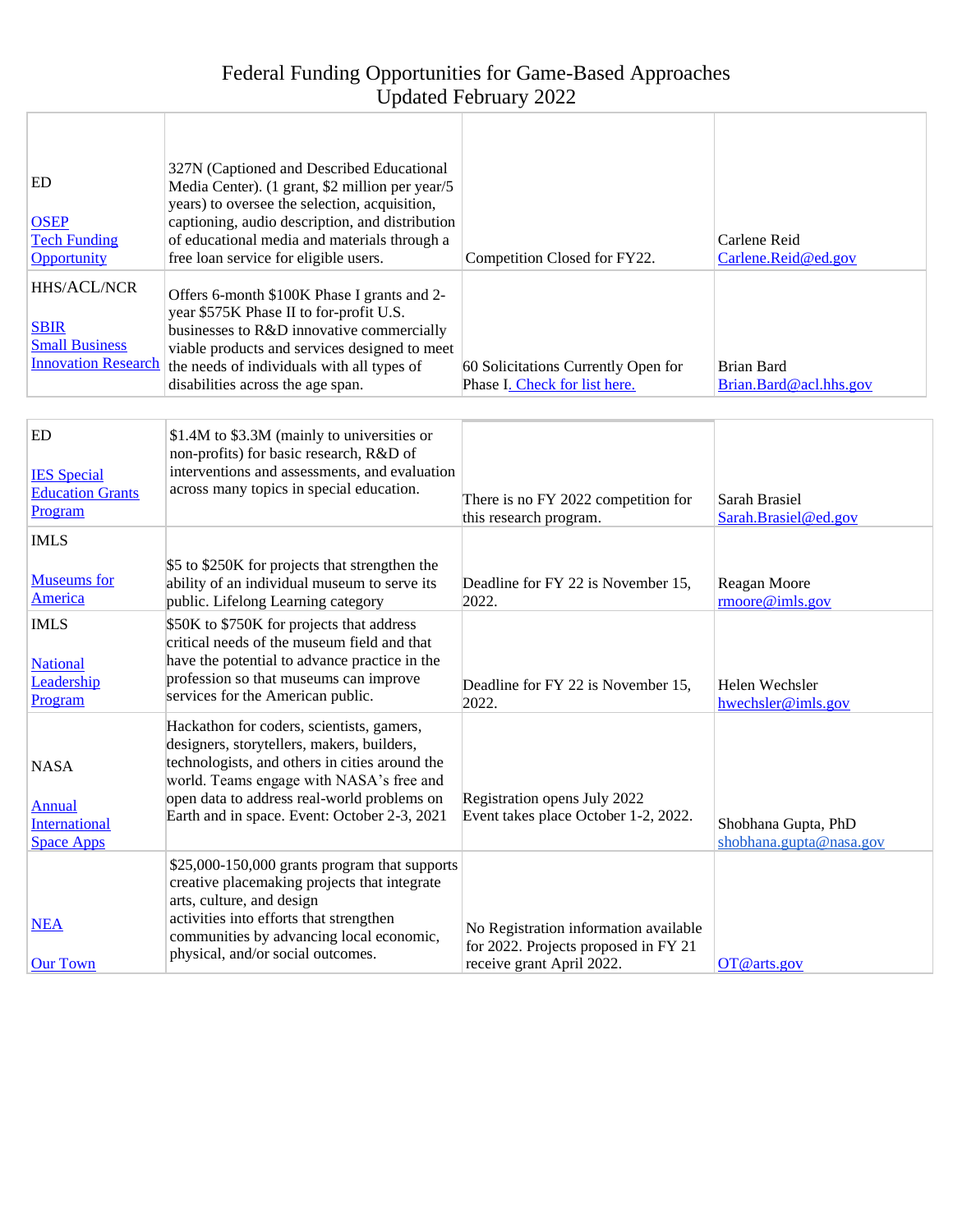| ED<br><b>OSEP</b><br><b>Tech Funding</b><br>Opportunity                           | 327N (Captioned and Described Educational<br>Media Center). (1 grant, \$2 million per year/5<br>years) to oversee the selection, acquisition,<br>captioning, audio description, and distribution<br>of educational media and materials through a<br>free loan service for eligible users. | Competition Closed for FY22.                                                                               | Carlene Reid<br>Carlene.Reid@ed.gov            |
|-----------------------------------------------------------------------------------|-------------------------------------------------------------------------------------------------------------------------------------------------------------------------------------------------------------------------------------------------------------------------------------------|------------------------------------------------------------------------------------------------------------|------------------------------------------------|
| HHS/ACL/NCR<br><b>SBIR</b><br><b>Small Business</b><br><b>Innovation Research</b> | Offers 6-month \$100K Phase I grants and 2-<br>year \$575K Phase II to for-profit U.S.<br>businesses to R&D innovative commercially<br>viable products and services designed to meet<br>the needs of individuals with all types of<br>disabilities across the age span.                   | 60 Solicitations Currently Open for<br>Phase I. Check for list here.                                       | <b>Brian Bard</b><br>Brian.Bard@acl.hhs.gov    |
| ED<br><b>IES</b> Special<br><b>Education Grants</b><br>Program                    | \$1.4M to \$3.3M (mainly to universities or<br>non-profits) for basic research, R&D of<br>interventions and assessments, and evaluation<br>across many topics in special education.                                                                                                       | There is no FY 2022 competition for<br>this research program.                                              | Sarah Brasiel<br>Sarah.Brasiel@ed.gov          |
| <b>IMLS</b><br><b>Museums</b> for<br>America                                      | \$5 to \$250K for projects that strengthen the<br>ability of an individual museum to serve its<br>public. Lifelong Learning category                                                                                                                                                      | Deadline for FY 22 is November 15,<br>2022.                                                                | Reagan Moore<br>rmoore@imls.gov                |
| <b>IMLS</b><br><b>National</b><br>Leadership<br>Program                           | \$50K to \$750K for projects that address<br>critical needs of the museum field and that<br>have the potential to advance practice in the<br>profession so that museums can improve<br>services for the American public.                                                                  | Deadline for FY 22 is November 15,<br>2022.                                                                | Helen Wechsler<br>hwechsler@imls.gov           |
| <b>NASA</b><br><b>Annual</b><br><b>International</b><br><b>Space Apps</b>         | Hackathon for coders, scientists, gamers,<br>designers, storytellers, makers, builders,<br>technologists, and others in cities around the<br>world. Teams engage with NASA's free and<br>open data to address real-world problems on<br>Earth and in space. Event: October 2-3, 2021      | Registration opens July 2022<br>Event takes place October 1-2, 2022                                        | Shobhana Gupta, PhD<br>shobhana.gupta@nasa.gov |
| <b>NEA</b><br><b>Our Town</b>                                                     | $$25,000-150,000$ grants program that supports<br>creative placemaking projects that integrate<br>arts, culture, and design<br>activities into efforts that strengthen<br>communities by advancing local economic,<br>physical, and/or social outcomes.                                   | No Registration information available<br>for 2022. Projects proposed in FY 21<br>receive grant April 2022. | OT@arts.gov                                    |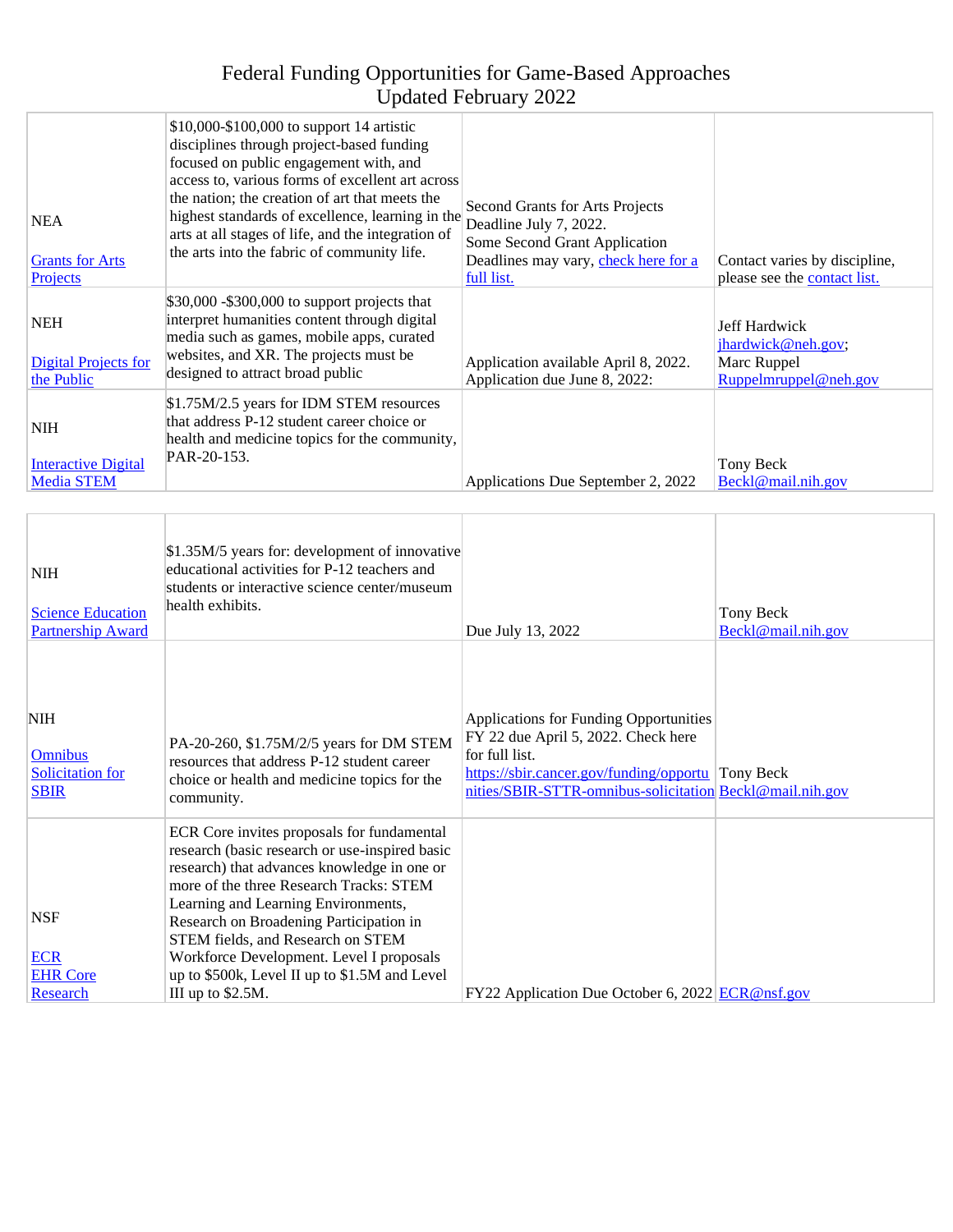| <b>NEA</b><br><b>Grants</b> for Arts<br>Projects                       | \$10,000-\$100,000 to support 14 artistic<br>disciplines through project-based funding<br>focused on public engagement with, and<br>access to, various forms of excellent art across<br>the nation; the creation of art that meets the<br>highest standards of excellence, learning in the<br>arts at all stages of life, and the integration of<br>the arts into the fabric of community life.                                 | Second Grants for Arts Projects<br>Deadline July 7, 2022.<br>Some Second Grant Application<br>Deadlines may vary, check here for a<br>full list.                                                                        | Contact varies by discipline,<br>please see the contact list.               |
|------------------------------------------------------------------------|---------------------------------------------------------------------------------------------------------------------------------------------------------------------------------------------------------------------------------------------------------------------------------------------------------------------------------------------------------------------------------------------------------------------------------|-------------------------------------------------------------------------------------------------------------------------------------------------------------------------------------------------------------------------|-----------------------------------------------------------------------------|
| <b>NEH</b><br><b>Digital Projects for</b><br>the Public                | \$30,000 - \$300,000 to support projects that<br>interpret humanities content through digital<br>media such as games, mobile apps, curated<br>websites, and XR. The projects must be<br>designed to attract broad public                                                                                                                                                                                                        | Application available April 8, 2022.<br>Application due June 8, 2022:                                                                                                                                                   | Jeff Hardwick<br>jhardwick@neh.gov;<br>Marc Ruppel<br>Ruppelmruppel@neh.gov |
| <b>NIH</b><br><b>Interactive Digital</b><br><b>Media STEM</b>          | \$1.75M/2.5 years for IDM STEM resources<br>that address P-12 student career choice or<br>health and medicine topics for the community,<br>PAR-20-153.                                                                                                                                                                                                                                                                          | Applications Due September 2, 2022                                                                                                                                                                                      | Tony Beck<br>Beckl@mail.nih.gov                                             |
| <b>NIH</b><br><b>Science Education</b><br><b>Partnership Award</b>     | \$1.35M/5 years for: development of innovative<br>educational activities for P-12 teachers and<br>students or interactive science center/museum<br>health exhibits.                                                                                                                                                                                                                                                             | Due July 13, 2022                                                                                                                                                                                                       | Tony Beck<br>Beckl@mail.nih.gov                                             |
| <b>NIH</b><br><b>Omnibus</b><br><b>Solicitation</b> for<br><b>SBIR</b> | PA-20-260, \$1.75M/2/5 years for DM STEM<br>resources that address P-12 student career<br>choice or health and medicine topics for the<br>community.                                                                                                                                                                                                                                                                            | <b>Applications for Funding Opportunities</b><br>FY 22 due April 5, 2022. Check here<br>for full list.<br>https://sbir.cancer.gov/funding/opportu Tony Beck<br>nities/SBIR-STTR-omnibus-solicitation Beckl@mail.nih.gov |                                                                             |
| <b>NSF</b><br><b>ECR</b><br><b>EHR</b> Core<br>Research                | ECR Core invites proposals for fundamental<br>research (basic research or use-inspired basic<br>research) that advances knowledge in one or<br>more of the three Research Tracks: STEM<br>Learning and Learning Environments,<br>Research on Broadening Participation in<br>STEM fields, and Research on STEM<br>Workforce Development. Level I proposals<br>up to \$500k, Level II up to \$1.5M and Level<br>III up to \$2.5M. | FY22 Application Due October 6, 2022 ECR@nsf.gov                                                                                                                                                                        |                                                                             |